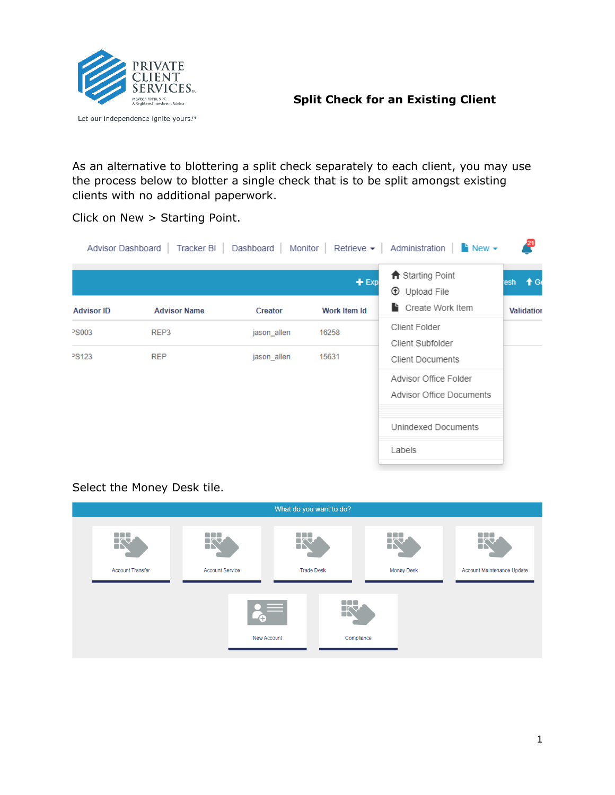

Let our independence ignite yours.™

**Split Check for an Existing Client**

As an alternative to blottering a split check separately to each client, you may use the process below to blotter a single check that is to be split amongst existing clients with no additional paperwork.

Click on New > Starting Point.

|                   |                     |             | $+$ Exp      | ← Starting Point<br><b>1</b> Upload File          | resh $\biguparrow$ Ge |
|-------------------|---------------------|-------------|--------------|---------------------------------------------------|-----------------------|
| <b>Advisor ID</b> | <b>Advisor Name</b> | Creator     | Work Item Id | Create Work Item                                  | <b>Validation</b>     |
| <b>PS003</b>      | REP3                | jason allen | 16258        | Client Folder<br>Client Subfolder                 |                       |
| PS123             | <b>REP</b>          | jason allen | 15631        | <b>Client Documents</b>                           |                       |
|                   |                     |             |              | Advisor Office Folder<br>Advisor Office Documents |                       |
|                   |                     |             |              | Unindexed Documents                               |                       |
|                   |                     |             |              | Labels                                            |                       |

## Select the Money Desk tile.

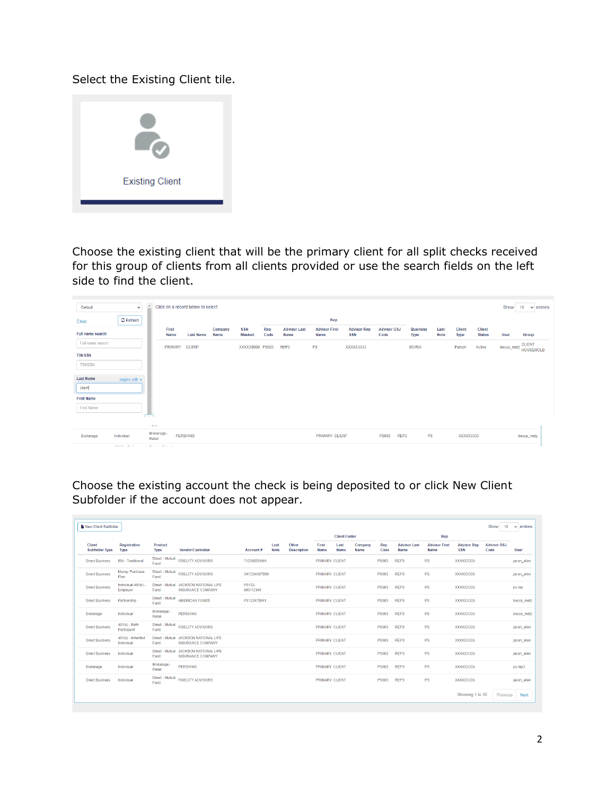Select the Existing Client tile.



Choose the existing client that will be the primary client for all split checks received for this group of clients from all clients provided or use the search fields on the left side to find the client.

| Default           | $\checkmark$                              | $\blacktriangle$            |                  | Click on a record below to select: |                 |                      |             |                             |                              |                                  |                            |                                |                     |                       |                                | Show        | $\vee$ entries<br>15 <sub>15</sub> |
|-------------------|-------------------------------------------|-----------------------------|------------------|------------------------------------|-----------------|----------------------|-------------|-----------------------------|------------------------------|----------------------------------|----------------------------|--------------------------------|---------------------|-----------------------|--------------------------------|-------------|------------------------------------|
| Clear             | $\mathcal G$ Refresh                      |                             |                  |                                    |                 |                      |             |                             | Rep                          |                                  |                            |                                |                     |                       |                                |             |                                    |
| Full name search  |                                           |                             | First<br>Name    | <b>Last Name</b>                   | Company<br>Name | <b>SSN</b><br>Masked | Rep<br>Code | <b>Advisor Last</b><br>Name | <b>Advisor First</b><br>Name | <b>Advisor Rep</b><br><b>SSN</b> | <b>Advisor OSJ</b><br>Code | <b>Business</b><br><b>Type</b> | Last<br><b>Note</b> | <b>Client</b><br>Type | <b>Client</b><br><b>Status</b> | <b>User</b> | Group                              |
| Full name search  |                                           |                             | PRIMARY CLIENT   |                                    |                 | XXXXX9999 PS003      |             | REP3                        | <b>PS</b>                    | XXXXX3333                        |                            | <b>BD/RIA</b>                  |                     | Person                | Active                         | becca_metz  | <b>CLIENT</b><br><b>HOUSEHOLD</b>  |
| <b>TIN/SSN</b>    |                                           |                             |                  |                                    |                 |                      |             |                             |                              |                                  |                            |                                |                     |                       |                                |             |                                    |
| <b>TIN/SSN</b>    |                                           |                             |                  |                                    |                 |                      |             |                             |                              |                                  |                            |                                |                     |                       |                                |             |                                    |
| <b>Last Name</b>  | begins with $\sim$                        |                             |                  |                                    |                 |                      |             |                             |                              |                                  |                            |                                |                     |                       |                                |             |                                    |
| client            |                                           |                             |                  |                                    |                 |                      |             |                             |                              |                                  |                            |                                |                     |                       |                                |             |                                    |
| <b>First Name</b> |                                           |                             |                  |                                    |                 |                      |             |                             |                              |                                  |                            |                                |                     |                       |                                |             |                                    |
| <b>First Name</b> |                                           | T.                          |                  |                                    |                 |                      |             |                             |                              |                                  |                            |                                |                     |                       |                                |             |                                    |
|                   |                                           |                             |                  |                                    |                 |                      |             |                             |                              |                                  |                            |                                |                     |                       |                                |             |                                    |
| Brokerage         | Individual<br>the company and the company | <b>Contractor</b><br>Retail | Brokerage -<br>. | <b>PERSHING</b>                    |                 |                      |             |                             | <b>PRIMARY CLIENT</b>        |                                  | REP3<br><b>PS003</b>       | PS                             |                     | XXXXX3333             |                                |             | becca_metz                         |

Choose the existing account the check is being deposited to or click New Client Subfolder if the account does not appear.

| New Client Subfolder                   |                                    |                         |                                                                   |                     |                     |                             |                       |                      |                 |              |                             |                              |                                  | Show<br>10                 | $\vee$ entries |
|----------------------------------------|------------------------------------|-------------------------|-------------------------------------------------------------------|---------------------|---------------------|-----------------------------|-----------------------|----------------------|-----------------|--------------|-----------------------------|------------------------------|----------------------------------|----------------------------|----------------|
|                                        |                                    |                         |                                                                   |                     |                     |                             |                       | <b>Client Folder</b> |                 |              |                             | Rep                          |                                  |                            |                |
| <b>Client</b><br><b>Subfolder Type</b> | <b>Registration</b><br><b>Type</b> | Product<br><b>Type</b>  | Vendor/Custodian                                                  | Account#            | Last<br><b>Note</b> | Other<br><b>Description</b> | First<br>Name         | Last<br>Name         | Company<br>Name | Rep<br>Code  | <b>Advisor Last</b><br>Name | <b>Advisor First</b><br>Name | <b>Advisor Rep</b><br><b>SSN</b> | <b>Advisor OSJ</b><br>Code | User           |
| <b>Direct Business</b>                 | IRA - Traditional                  | Direct - Mutual<br>Fund | <b>FIDELITY ADVISORS</b>                                          | 7123682594IA        |                     |                             | <b>PRIMARY CLIENT</b> |                      |                 | <b>PS003</b> | REP3                        | <b>PS</b>                    | XXXXX3333                        |                            | lason allen    |
| <b>Direct Business</b>                 | Money Purchase<br>Plan             | Fund                    | Direct - Mutual FIDELITY ADVISORS                                 | OK1234567890        |                     |                             | <b>PRIMARY CLIENT</b> |                      |                 | <b>PS003</b> | REP3                        | <b>PS</b>                    | XXXXX3333                        |                            | jason_allen    |
| <b>Direct Business</b>                 | Individual 401(k) -<br>Employer    | Fund                    | Direct - Mutual JACKSON NATIONAL LIFE<br><b>INSURANCE COMPANY</b> | PS123-<br>000112345 |                     |                             | <b>PRIMARY CLIENT</b> |                      |                 | <b>PS003</b> | REP3                        | <b>PS</b>                    | XXXXX3333                        |                            | ps.rep         |
| <b>Direct Business</b>                 | Partnership                        | Direct - Mutual<br>Fund | <b>AMERICAN FUNDS</b>                                             | PS123578951         |                     |                             | <b>PRIMARY CLIENT</b> |                      |                 | <b>PS003</b> | REP3                        | <b>PS</b>                    | XXXXX3333                        |                            | becca metz     |
| <b>Brokerage</b>                       | Individual                         | Brokerage -<br>Retail   | <b>PERSHING</b>                                                   |                     |                     |                             | <b>PRIMARY CLIENT</b> |                      |                 | <b>PS003</b> | REP3                        | <b>PS</b>                    | XXXXX3333                        |                            | becca metz     |
| <b>Direct Business</b>                 | $401(k) - Roth$<br>Participant     | Direct - Mutual<br>Fund | <b>FIDELITY ADVISORS</b>                                          |                     |                     |                             | <b>PRIMARY CLIENT</b> |                      |                 | <b>PS003</b> | REP3                        | <b>PS</b>                    | XXXXX3333                        |                            | jason allen    |
| <b>Direct Business</b>                 | $401(k)$ - Inherited<br>Individual | Fund                    | Direct - Mutual JACKSON NATIONAL LIFE<br><b>INSURANCE COMPANY</b> |                     |                     |                             | <b>PRIMARY CLIENT</b> |                      |                 | <b>PS003</b> | REP3                        | <b>PS</b>                    | XXXXX3333                        |                            | lason allen    |
| <b>Direct Business</b>                 | Individual                         | Fund                    | Direct - Mutual JACKSON NATIONAL LIFE<br><b>INSURANCE COMPANY</b> |                     |                     |                             | <b>PRIMARY CLIENT</b> |                      |                 | <b>PS003</b> | REP3                        | <b>PS</b>                    | XXXXX3333                        |                            | jason_allen    |
| <b>Brokerage</b>                       | Individual                         | Brokerage -<br>Retail   | <b>PERSHING</b>                                                   |                     |                     |                             | <b>PRIMARY CLIENT</b> |                      |                 | <b>PS003</b> | REP3                        | <b>PS</b>                    | XXXXX3333                        |                            | ps.rep3        |
| <b>Direct Business</b>                 | Individual                         | Direct - Mutual<br>Fund | <b>FIDELITY ADVISORS</b>                                          |                     |                     |                             | <b>PRIMARY CLIENT</b> |                      |                 | <b>PS003</b> | REP3                        | <b>PS</b>                    | XXXXX3333                        |                            | jason allen    |
|                                        |                                    |                         |                                                                   |                     |                     |                             |                       |                      |                 |              |                             |                              | Showing 1 to 10                  | Previous                   | <b>Next</b>    |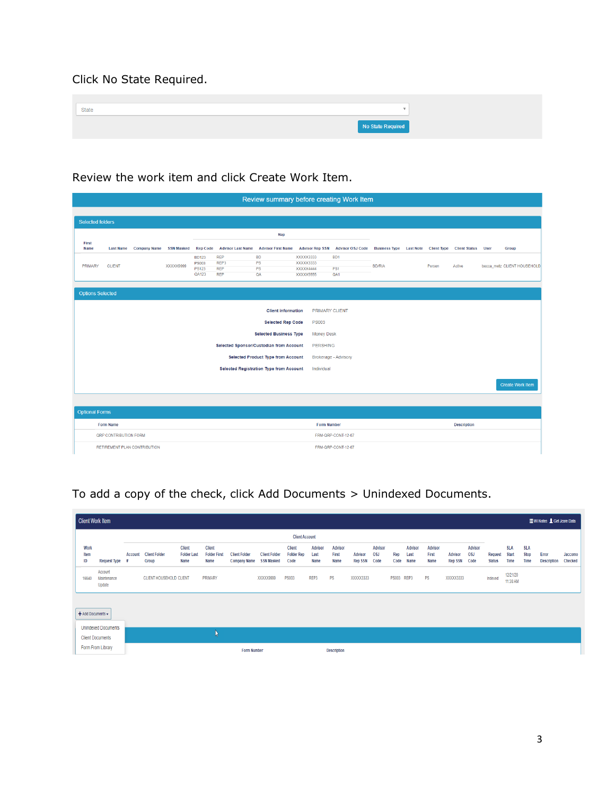Click No State Required.

| <b>State</b> | $\overline{\phantom{a}}$ |
|--------------|--------------------------|
|              | No State Required        |

## Review the work item and click Create Work Item.

|                         | Review summary before creating Work Item |                                     |           |                                                       |                                                |                                                |                                                  |                                                       |                                                        |  |        |                    |  |                             |
|-------------------------|------------------------------------------|-------------------------------------|-----------|-------------------------------------------------------|------------------------------------------------|------------------------------------------------|--------------------------------------------------|-------------------------------------------------------|--------------------------------------------------------|--|--------|--------------------|--|-----------------------------|
| <b>Selected folders</b> |                                          |                                     |           |                                                       |                                                |                                                |                                                  |                                                       |                                                        |  |        |                    |  |                             |
|                         |                                          |                                     |           |                                                       |                                                |                                                |                                                  |                                                       |                                                        |  |        |                    |  |                             |
| First<br>Name           |                                          | Last Name Company Name SSN Masked   |           | <b>Rep Code</b>                                       |                                                | <b>Advisor Last Name Advisor First Name</b>    |                                                  | Advisor Rep SSN Advisor OSJ Code                      | Business Type Last Note Client Type Client Status User |  |        |                    |  | Group                       |
| <b>PRIMARY</b>          | <b>CLIENT</b>                            |                                     | XXXXX9999 | <b>BD123</b><br><b>PS003</b><br><b>PS123</b><br>QA123 | <b>REP</b><br>REP3<br><b>REP</b><br><b>REP</b> | <b>BD</b><br>PS<br>PS<br>QA                    | XXXXX3333<br>XXXXX3333<br>XXXXX4444<br>XXXXX5555 | BD <sub>1</sub><br>PS <sub>1</sub><br>QA <sub>1</sub> | <b>BD/RIA</b>                                          |  | Person | Active             |  | becca_metz_CLIENT HOUSEHOLD |
| <b>Options Selected</b> |                                          |                                     |           |                                                       |                                                |                                                |                                                  |                                                       |                                                        |  |        |                    |  |                             |
|                         | <b>Client information</b>                |                                     |           |                                                       |                                                |                                                |                                                  | <b>PRIMARY CLIENT</b>                                 |                                                        |  |        |                    |  |                             |
|                         |                                          |                                     |           |                                                       |                                                | <b>Selected Rep Code</b>                       | <b>PS003</b>                                     |                                                       |                                                        |  |        |                    |  |                             |
|                         |                                          |                                     |           |                                                       |                                                | <b>Selected Business Type</b>                  | <b>Money Desk</b>                                |                                                       |                                                        |  |        |                    |  |                             |
|                         |                                          |                                     |           |                                                       |                                                | Selected Sponsor/Custodian from Account        |                                                  | <b>PERSHING</b>                                       |                                                        |  |        |                    |  |                             |
|                         |                                          |                                     |           |                                                       |                                                | <b>Selected Product Type from Account</b>      |                                                  | <b>Brokerage - Advisory</b>                           |                                                        |  |        |                    |  |                             |
|                         |                                          |                                     |           |                                                       |                                                | <b>Selected Registration Type from Account</b> | Individual                                       |                                                       |                                                        |  |        |                    |  |                             |
|                         |                                          |                                     |           |                                                       |                                                |                                                |                                                  |                                                       |                                                        |  |        |                    |  | <b>Create Work Item</b>     |
|                         |                                          |                                     |           |                                                       |                                                |                                                |                                                  |                                                       |                                                        |  |        |                    |  |                             |
| <b>Optional Forms</b>   |                                          |                                     |           |                                                       |                                                |                                                |                                                  |                                                       |                                                        |  |        |                    |  |                             |
|                         | <b>Form Name</b>                         |                                     |           |                                                       |                                                |                                                | <b>Form Number</b>                               |                                                       |                                                        |  |        | <b>Description</b> |  |                             |
|                         | QRP CONTRIBUTION FORM                    |                                     |           |                                                       |                                                |                                                |                                                  | FRM-QRP-CONT-12-07                                    |                                                        |  |        |                    |  |                             |
|                         |                                          | <b>RETIREMENT PLAN CONTRIBUTION</b> |           |                                                       |                                                |                                                |                                                  | FRM-QRP-CONT-12-07                                    |                                                        |  |        |                    |  |                             |

## To add a copy of the check, click Add Documents > Unindexed Documents.

|                    | Client Work Item<br><b>EWI Notes &amp; Get Jcore Data</b> |                |                                |                                             |                                              |                                             |                                           |                                            |                                |                                 |                                  |                                      |              |                                |                          |                                  |                                      |                                 |                                    |                                   |                             |                    |
|--------------------|-----------------------------------------------------------|----------------|--------------------------------|---------------------------------------------|----------------------------------------------|---------------------------------------------|-------------------------------------------|--------------------------------------------|--------------------------------|---------------------------------|----------------------------------|--------------------------------------|--------------|--------------------------------|--------------------------|----------------------------------|--------------------------------------|---------------------------------|------------------------------------|-----------------------------------|-----------------------------|--------------------|
|                    |                                                           |                |                                |                                             |                                              |                                             |                                           | <b>Client Account</b>                      |                                |                                 |                                  |                                      |              |                                |                          |                                  |                                      |                                 |                                    |                                   |                             |                    |
| Work<br>Item<br>ID | Request Type #                                            | <b>Account</b> | <b>Client Folder</b><br>Group  | <b>Client</b><br><b>Folder Last</b><br>Name | <b>Client</b><br><b>Folder First</b><br>Name | <b>Client Folder</b><br><b>Company Name</b> | <b>Client Folder</b><br><b>SSN Masked</b> | <b>Client</b><br><b>Folder Rep</b><br>Code | <b>Advisor</b><br>Last<br>Name | <b>Advisor</b><br>First<br>Name | <b>Advisor</b><br><b>Rep SSN</b> | <b>Advisor</b><br><b>OSJ</b><br>Code | Rep<br>Code  | <b>Advisor</b><br>Last<br>Name | Advisor<br>First<br>Name | <b>Advisor</b><br><b>Rep SSN</b> | <b>Advisor</b><br><b>OSJ</b><br>Code | <b>Request</b><br><b>Status</b> | <b>SLA</b><br><b>Start</b><br>Time | <b>SLA</b><br><b>Stop</b><br>Time | Error<br><b>Description</b> | Jaccomo<br>Checked |
| 16640              | Account<br>Maintenance<br>Update                          |                | <b>CLIENT HOUSEHOLD CLIENT</b> |                                             | PRIMARY                                      |                                             | XXXXX9999                                 | <b>PS003</b>                               | REP3                           | <b>PS</b>                       | XXXXX3333                        |                                      | <b>PS003</b> | REP3                           | PS                       | XXXXX3333                        |                                      | Indexed                         | 12/21/20<br>11:38 AM               |                                   |                             |                    |
| + Add Documents -  | <b>Unindexed Documents</b>                                |                |                                |                                             |                                              |                                             |                                           |                                            |                                |                                 |                                  |                                      |              |                                |                          |                                  |                                      |                                 |                                    |                                   |                             |                    |
|                    | <b>Client Documents</b>                                   |                |                                |                                             | W                                            |                                             |                                           |                                            |                                |                                 |                                  |                                      |              |                                |                          |                                  |                                      |                                 |                                    |                                   |                             |                    |
|                    | Form From Library                                         |                |                                |                                             |                                              | <b>Form Number</b>                          |                                           |                                            |                                | <b>Description</b>              |                                  |                                      |              |                                |                          |                                  |                                      |                                 |                                    |                                   |                             |                    |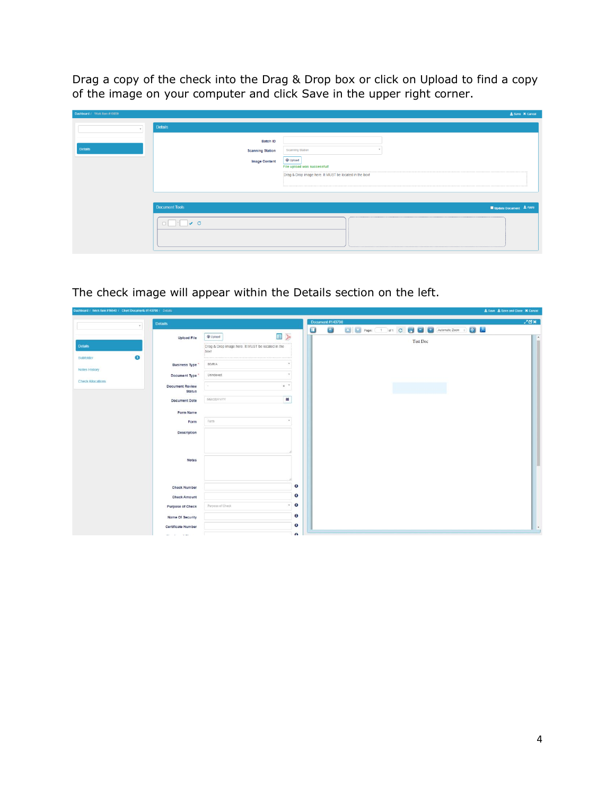Drag a copy of the check into the Drag & Drop box or click on Upload to find a copy of the image on your computer and click Save in the upper right corner.

| Dashboard / Work Item #16659 |                                                                                                                                                                                             | ± Save X Cancel         |
|------------------------------|---------------------------------------------------------------------------------------------------------------------------------------------------------------------------------------------|-------------------------|
|                              | <b>Details</b>                                                                                                                                                                              |                         |
| <b>Details</b>               | Batch ID<br>Scanning Station<br><b>Scanning Station</b><br><b>C</b> Upload<br><b>Image Content</b><br>File upload was successful!<br>Drag & Drop image here. It MUST be located in the box! |                         |
|                              | <b>Document Tools</b>                                                                                                                                                                       | Update Document ± Apply |
|                              |                                                                                                                                                                                             |                         |

The check image will appear within the Details section on the left.

| Dasnooard / Work flem #16640 / Client Documents #143708 / Details |                            |                                                           |                         |          | <b>2.</b> Save 2. Save and Close 34 Cancel |
|-------------------------------------------------------------------|----------------------------|-----------------------------------------------------------|-------------------------|----------|--------------------------------------------|
|                                                                   | <b>Details</b>             |                                                           | <b>Document #143708</b> |          | $X \boxtimes X$                            |
|                                                                   |                            |                                                           | $\mathbf \Xi$<br>高      |          |                                            |
|                                                                   | <b>Upload File</b>         | ED<br><b>O</b> Upload                                     |                         | Test Doc | $\sim$                                     |
| <b>Details</b>                                                    |                            | Drag & Drop image here. It MUST be located in the<br>boxt |                         |          |                                            |
| $\bullet$<br>Subfolder                                            |                            |                                                           |                         |          |                                            |
|                                                                   | <b>Business Type</b>       | <b>BD/RIA</b>                                             |                         |          |                                            |
| <b>Notes History</b>                                              | Document Type *            | Unindexed                                                 |                         |          |                                            |
| <b>Check Allocations</b>                                          | <b>Document Review</b>     | $x^{-\nu}$                                                |                         |          |                                            |
|                                                                   | <b>Status</b>              |                                                           |                         |          |                                            |
|                                                                   | <b>Document Date</b>       | $\frac{1}{2}$<br>MM/DD/YYYY                               |                         |          |                                            |
|                                                                   | Form Name                  |                                                           |                         |          |                                            |
|                                                                   | Form                       | Form<br>$\sim$                                            |                         |          |                                            |
|                                                                   |                            |                                                           |                         |          |                                            |
|                                                                   | Description                |                                                           |                         |          |                                            |
|                                                                   |                            |                                                           |                         |          |                                            |
|                                                                   |                            |                                                           |                         |          |                                            |
|                                                                   | Notes                      |                                                           |                         |          |                                            |
|                                                                   |                            |                                                           |                         |          |                                            |
|                                                                   |                            |                                                           |                         |          |                                            |
|                                                                   | <b>Check Number</b>        | Θ                                                         |                         |          |                                            |
|                                                                   | <b>Check Amount</b>        | $\bullet$                                                 |                         |          |                                            |
|                                                                   | <b>Purpose of Check</b>    | $\bullet$<br>Purpose of Check                             |                         |          |                                            |
|                                                                   | Name Of Security           | Θ                                                         |                         |          |                                            |
|                                                                   | <b>Certificate Number</b>  | $\bullet$                                                 |                         |          | $\cdot$                                    |
|                                                                   | the control of the control | $\mathbf{a}$                                              |                         |          |                                            |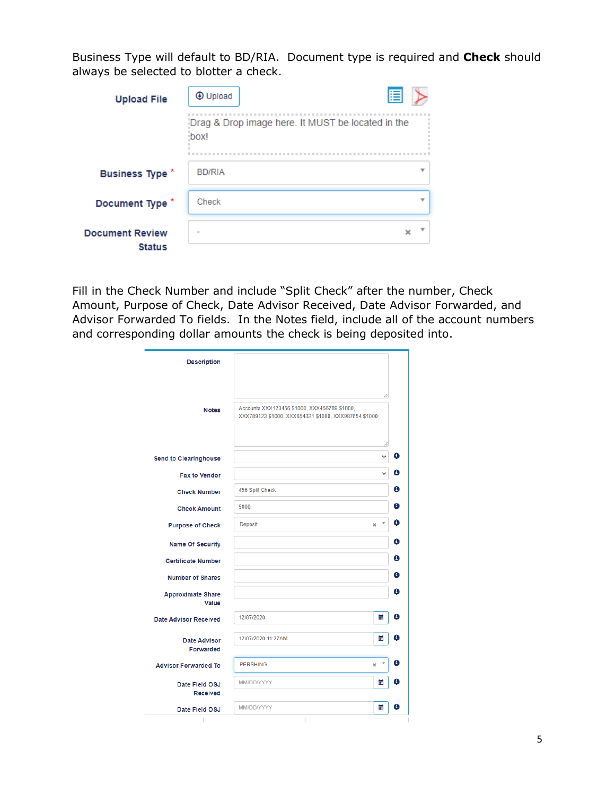Business Type will default to BD/RIA. Document type is required and **Check** should always be selected to blotter a check.

| <b>Upload File</b>                      | <b>+</b> Upload | E                                                 |  |
|-----------------------------------------|-----------------|---------------------------------------------------|--|
|                                         | box!            | Drag & Drop image here. It MUST be located in the |  |
| <b>Business Type *</b>                  | <b>BD/RIA</b>   | v                                                 |  |
| Document Type *                         | Check           | v                                                 |  |
| <b>Document Review</b><br><b>Status</b> |                 | x                                                 |  |

Fill in the Check Number and include "Split Check" after the number, Check Amount, Purpose of Check, Date Advisor Received, Date Advisor Forwarded, and Advisor Forwarded To fields. In the Notes field, include all of the account numbers and corresponding dollar amounts the check is being deposited into.

| <b>Description</b>                |                                                                                                      |   |
|-----------------------------------|------------------------------------------------------------------------------------------------------|---|
| <b>Notes</b>                      | Accounts XXX123456 \$1000, XXX456789 \$1000,<br>XXX789123 \$1000, XXX654321 \$1000, XXX987654 \$1000 |   |
|                                   | 4                                                                                                    |   |
| <b>Send to Clearinghouse</b>      | $\checkmark$                                                                                         | € |
| <b>Fax to Vendor</b>              | $\checkmark$                                                                                         | Θ |
| <b>Check Number</b>               | 456 Split Check                                                                                      | θ |
| <b>Check Amount</b>               | 5000                                                                                                 | θ |
| <b>Purpose of Check</b>           | v<br>Deposit<br>$\mathbf x$                                                                          | θ |
| <b>Name Of Security</b>           |                                                                                                      | θ |
| <b>Certificate Number</b>         |                                                                                                      | θ |
| <b>Number of Shares</b>           |                                                                                                      | Θ |
| <b>Approximate Share</b><br>Value |                                                                                                      | Θ |
| <b>Date Advisor Received</b>      | 12/07/2020<br>萹                                                                                      | θ |
| <b>Date Advisor</b><br>Forwarded  | 萹<br>12/07/2020 11:27AM                                                                              | θ |
| <b>Advisor Forwarded To</b>       | $\boldsymbol{\mathrm{v}}$<br><b>PERSHING</b><br>$\boldsymbol{\times}$                                | Θ |
| Date Field OSJ                    | 篇<br>MM/DD/YYYY                                                                                      | θ |
| <b>Received</b>                   |                                                                                                      |   |
| Date Field OSJ                    | 萹<br>MM/DD/YYYY                                                                                      | Θ |